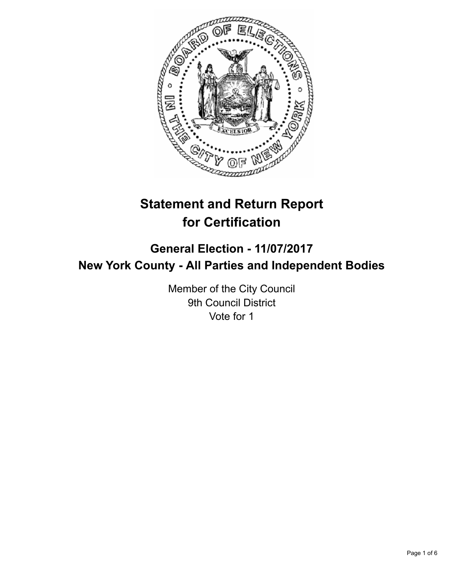

# **Statement and Return Report for Certification**

## **General Election - 11/07/2017 New York County - All Parties and Independent Bodies**

Member of the City Council 9th Council District Vote for 1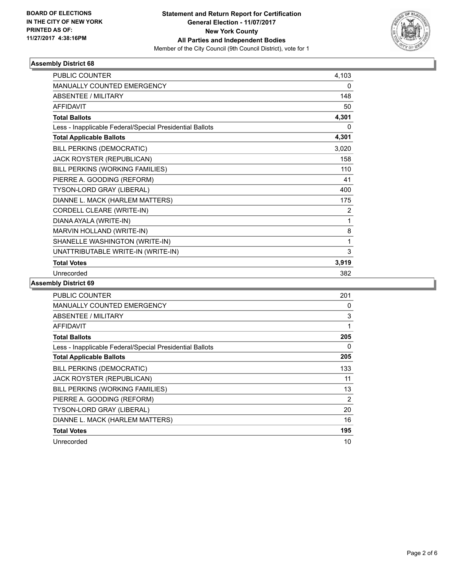

#### **Assembly District 68**

| <b>PUBLIC COUNTER</b>                                    | 4,103 |
|----------------------------------------------------------|-------|
| MANUALLY COUNTED EMERGENCY                               | 0     |
| <b>ABSENTEE / MILITARY</b>                               | 148   |
| <b>AFFIDAVIT</b>                                         | 50    |
| <b>Total Ballots</b>                                     | 4,301 |
| Less - Inapplicable Federal/Special Presidential Ballots | 0     |
| <b>Total Applicable Ballots</b>                          | 4,301 |
| <b>BILL PERKINS (DEMOCRATIC)</b>                         | 3,020 |
| <b>JACK ROYSTER (REPUBLICAN)</b>                         | 158   |
| BILL PERKINS (WORKING FAMILIES)                          | 110   |
| PIERRE A. GOODING (REFORM)                               | 41    |
| TYSON-LORD GRAY (LIBERAL)                                | 400   |
| DIANNE L. MACK (HARLEM MATTERS)                          | 175   |
| CORDELL CLEARE (WRITE-IN)                                | 2     |
| DIANA AYALA (WRITE-IN)                                   | 1     |
| MARVIN HOLLAND (WRITE-IN)                                | 8     |
| SHANELLE WASHINGTON (WRITE-IN)                           | 1     |
| UNATTRIBUTABLE WRITE-IN (WRITE-IN)                       | 3     |
| <b>Total Votes</b>                                       | 3,919 |
| Unrecorded                                               | 382   |

#### **Assembly District 69**

| <b>PUBLIC COUNTER</b>                                    | 201            |
|----------------------------------------------------------|----------------|
| <b>MANUALLY COUNTED EMERGENCY</b>                        | 0              |
| ABSENTEE / MILITARY                                      | 3              |
| AFFIDAVIT                                                | 1              |
| <b>Total Ballots</b>                                     | 205            |
| Less - Inapplicable Federal/Special Presidential Ballots | 0              |
| <b>Total Applicable Ballots</b>                          | 205            |
| <b>BILL PERKINS (DEMOCRATIC)</b>                         | 133            |
| <b>JACK ROYSTER (REPUBLICAN)</b>                         | 11             |
| BILL PERKINS (WORKING FAMILIES)                          | 13             |
| PIERRE A. GOODING (REFORM)                               | $\overline{2}$ |
| TYSON-LORD GRAY (LIBERAL)                                | 20             |
| DIANNE L. MACK (HARLEM MATTERS)                          | 16             |
| <b>Total Votes</b>                                       | 195            |
| Unrecorded                                               | 10             |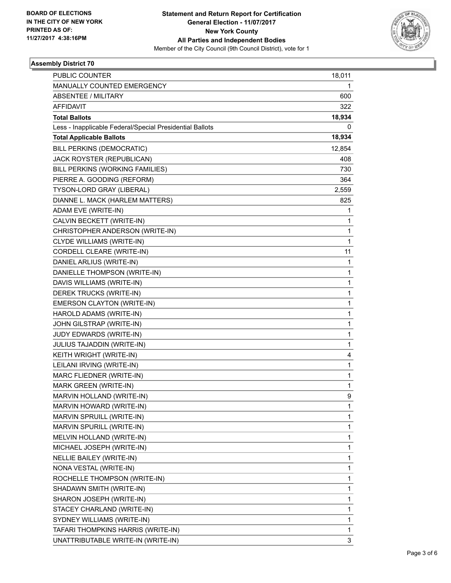

#### **Assembly District 70**

| <b>PUBLIC COUNTER</b>                                    | 18,011 |
|----------------------------------------------------------|--------|
| MANUALLY COUNTED EMERGENCY                               | 1      |
| <b>ABSENTEE / MILITARY</b>                               | 600    |
| <b>AFFIDAVIT</b>                                         | 322    |
| <b>Total Ballots</b>                                     | 18,934 |
| Less - Inapplicable Federal/Special Presidential Ballots | 0      |
| <b>Total Applicable Ballots</b>                          | 18,934 |
| BILL PERKINS (DEMOCRATIC)                                | 12,854 |
| JACK ROYSTER (REPUBLICAN)                                | 408    |
| BILL PERKINS (WORKING FAMILIES)                          | 730    |
| PIERRE A. GOODING (REFORM)                               | 364    |
| TYSON-LORD GRAY (LIBERAL)                                | 2,559  |
| DIANNE L. MACK (HARLEM MATTERS)                          | 825    |
| ADAM EVE (WRITE-IN)                                      | 1      |
| CALVIN BECKETT (WRITE-IN)                                | 1      |
| CHRISTOPHER ANDERSON (WRITE-IN)                          | 1      |
| CLYDE WILLIAMS (WRITE-IN)                                | 1      |
| CORDELL CLEARE (WRITE-IN)                                | 11     |
| DANIEL ARLIUS (WRITE-IN)                                 | 1      |
| DANIELLE THOMPSON (WRITE-IN)                             | 1      |
| DAVIS WILLIAMS (WRITE-IN)                                | 1      |
| DEREK TRUCKS (WRITE-IN)                                  | 1      |
| EMERSON CLAYTON (WRITE-IN)                               | 1      |
| HAROLD ADAMS (WRITE-IN)                                  | 1      |
| JOHN GILSTRAP (WRITE-IN)                                 | 1      |
| JUDY EDWARDS (WRITE-IN)                                  | 1      |
| JULIUS TAJADDIN (WRITE-IN)                               | 1      |
| KEITH WRIGHT (WRITE-IN)                                  | 4      |
| LEILANI IRVING (WRITE-IN)                                | 1      |
| MARC FLIEDNER (WRITE-IN)                                 | 1      |
| MARK GREEN (WRITE-IN)                                    | 1      |
| MARVIN HOLLAND (WRITE-IN)                                | 9      |
| MARVIN HOWARD (WRITE-IN)                                 | 1      |
| MARVIN SPRUILL (WRITE-IN)                                | 1      |
| MARVIN SPURILL (WRITE-IN)                                | 1      |
| MELVIN HOLLAND (WRITE-IN)                                | 1      |
| MICHAEL JOSEPH (WRITE-IN)                                | 1      |
| NELLIE BAILEY (WRITE-IN)                                 | 1      |
| NONA VESTAL (WRITE-IN)                                   | 1      |
| ROCHELLE THOMPSON (WRITE-IN)                             | 1      |
| SHADAWN SMITH (WRITE-IN)                                 | 1      |
| SHARON JOSEPH (WRITE-IN)                                 | 1      |
| STACEY CHARLAND (WRITE-IN)                               | 1      |
| SYDNEY WILLIAMS (WRITE-IN)                               | 1      |
| TAFARI THOMPKINS HARRIS (WRITE-IN)                       | 1      |
| UNATTRIBUTABLE WRITE-IN (WRITE-IN)                       | 3      |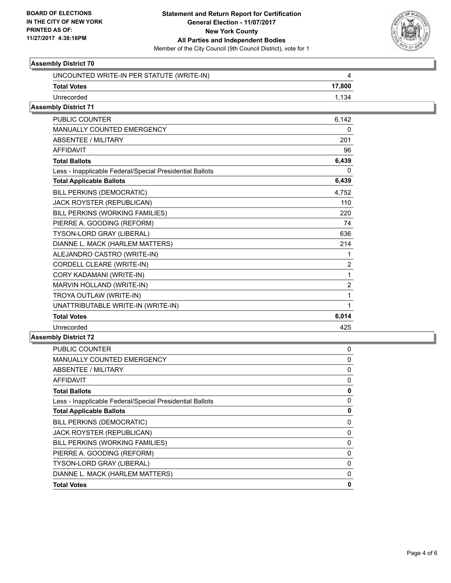

#### **Assembly District 70**

| UNCOUNTED WRITE-IN PER STATUTE (WRITE-IN)                | 4              |
|----------------------------------------------------------|----------------|
| <b>Total Votes</b>                                       | 17,800         |
| Unrecorded                                               | 1,134          |
| <b>Assembly District 71</b>                              |                |
| <b>PUBLIC COUNTER</b>                                    | 6,142          |
| <b>MANUALLY COUNTED EMERGENCY</b>                        | <sup>0</sup>   |
| <b>ABSENTEE / MILITARY</b>                               | 201            |
| <b>AFFIDAVIT</b>                                         | 96             |
| <b>Total Ballots</b>                                     | 6,439          |
| Less - Inapplicable Federal/Special Presidential Ballots | $\Omega$       |
| <b>Total Applicable Ballots</b>                          | 6,439          |
| BILL PERKINS (DEMOCRATIC)                                | 4.752          |
| JACK ROYSTER (REPUBLICAN)                                | 110            |
| BILL PERKINS (WORKING FAMILIES)                          | 220            |
| PIERRE A. GOODING (REFORM)                               | 74             |
| <b>TYSON-LORD GRAY (LIBERAL)</b>                         | 636            |
| DIANNE L. MACK (HARLEM MATTERS)                          | 214            |
| ALEJANDRO CASTRO (WRITE-IN)                              |                |
| CORDELL CLEARE (WRITE-IN)                                | $\overline{2}$ |
| CORY KADAMANI (WRITE-IN)                                 | 1              |
| MARVIN HOLLAND (WRITE-IN)                                | $\overline{2}$ |
| TROYA OUTLAW (WRITE-IN)                                  |                |
| UNATTRIBUTABLE WRITE-IN (WRITE-IN)                       | 1              |
| <b>Total Votes</b>                                       | 6,014          |
| Unrecorded                                               | 425            |

### **Assembly District 72**

| <b>PUBLIC COUNTER</b>                                    | 0 |
|----------------------------------------------------------|---|
| <b>MANUALLY COUNTED EMERGENCY</b>                        | 0 |
| ABSENTEE / MILITARY                                      | 0 |
| AFFIDAVIT                                                | 0 |
| <b>Total Ballots</b>                                     | 0 |
| Less - Inapplicable Federal/Special Presidential Ballots | 0 |
| <b>Total Applicable Ballots</b>                          | 0 |
| <b>BILL PERKINS (DEMOCRATIC)</b>                         | 0 |
| <b>JACK ROYSTER (REPUBLICAN)</b>                         | 0 |
| BILL PERKINS (WORKING FAMILIES)                          | 0 |
| PIERRE A. GOODING (REFORM)                               | 0 |
| TYSON-LORD GRAY (LIBERAL)                                | 0 |
| DIANNE L. MACK (HARLEM MATTERS)                          | 0 |
| <b>Total Votes</b>                                       | 0 |
|                                                          |   |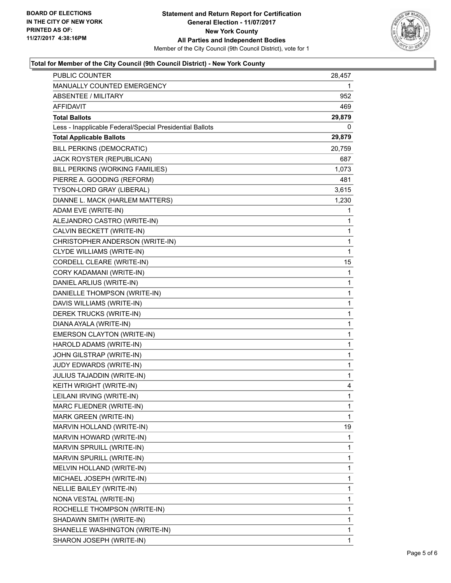

#### **Total for Member of the City Council (9th Council District) - New York County**

| PUBLIC COUNTER                                           | 28,457       |
|----------------------------------------------------------|--------------|
| MANUALLY COUNTED EMERGENCY                               | 1            |
| ABSENTEE / MILITARY                                      | 952          |
| AFFIDAVIT                                                | 469          |
| <b>Total Ballots</b>                                     | 29,879       |
| Less - Inapplicable Federal/Special Presidential Ballots | 0            |
| <b>Total Applicable Ballots</b>                          | 29,879       |
| BILL PERKINS (DEMOCRATIC)                                | 20,759       |
| <b>JACK ROYSTER (REPUBLICAN)</b>                         | 687          |
| BILL PERKINS (WORKING FAMILIES)                          | 1,073        |
| PIERRE A. GOODING (REFORM)                               | 481          |
| TYSON-LORD GRAY (LIBERAL)                                | 3,615        |
| DIANNE L. MACK (HARLEM MATTERS)                          | 1,230        |
| ADAM EVE (WRITE-IN)                                      | 1            |
| ALEJANDRO CASTRO (WRITE-IN)                              | 1            |
| CALVIN BECKETT (WRITE-IN)                                | 1            |
| CHRISTOPHER ANDERSON (WRITE-IN)                          | 1            |
| <b>CLYDE WILLIAMS (WRITE-IN)</b>                         | 1            |
| CORDELL CLEARE (WRITE-IN)                                | 15           |
| CORY KADAMANI (WRITE-IN)                                 | 1            |
| DANIEL ARLIUS (WRITE-IN)                                 | $\mathbf 1$  |
| DANIELLE THOMPSON (WRITE-IN)                             | 1            |
| DAVIS WILLIAMS (WRITE-IN)                                | 1            |
| DEREK TRUCKS (WRITE-IN)                                  | 1            |
| DIANA AYALA (WRITE-IN)                                   | 1            |
| EMERSON CLAYTON (WRITE-IN)                               | $\mathbf 1$  |
| HAROLD ADAMS (WRITE-IN)                                  | $\mathbf 1$  |
| JOHN GILSTRAP (WRITE-IN)                                 | 1            |
| JUDY EDWARDS (WRITE-IN)                                  | 1            |
| JULIUS TAJADDIN (WRITE-IN)                               | 1            |
| KEITH WRIGHT (WRITE-IN)                                  | 4            |
| LEILANI IRVING (WRITE-IN)                                | $\mathbf{1}$ |
| MARC FLIEDNER (WRITE-IN)                                 | 1            |
| MARK GREEN (WRITE-IN)                                    | 1            |
| MARVIN HOLLAND (WRITE-IN)                                | 19           |
| MARVIN HOWARD (WRITE-IN)                                 | 1            |
| MARVIN SPRUILL (WRITE-IN)                                | 1            |
| MARVIN SPURILL (WRITE-IN)                                | 1            |
| MELVIN HOLLAND (WRITE-IN)                                | 1            |
| MICHAEL JOSEPH (WRITE-IN)                                | 1            |
| NELLIE BAILEY (WRITE-IN)                                 | 1            |
| NONA VESTAL (WRITE-IN)                                   | 1            |
| ROCHELLE THOMPSON (WRITE-IN)                             | 1            |
| SHADAWN SMITH (WRITE-IN)                                 | 1            |
| SHANELLE WASHINGTON (WRITE-IN)                           | 1            |
| SHARON JOSEPH (WRITE-IN)                                 | 1            |
|                                                          |              |